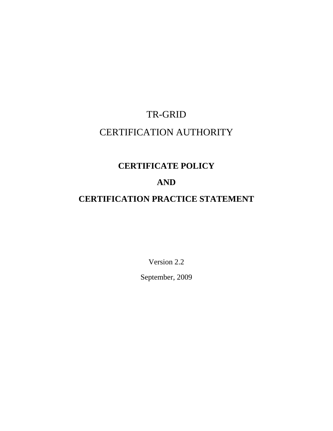# TR-GRID CERTIFICATION AUTHORITY

# **CERTIFICATE POLICY**

# **AND**

# **CERTIFICATION PRACTICE STATEMENT**

Version 2.2 September, 2009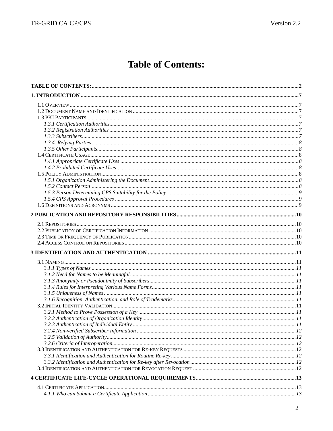# **Table of Contents:**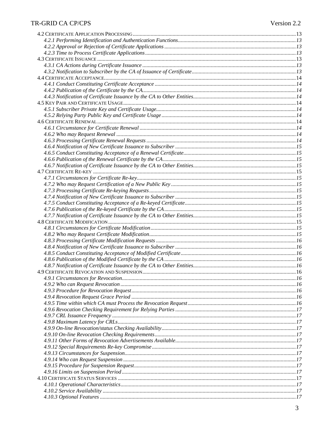### TR-GRID CA CP/CPS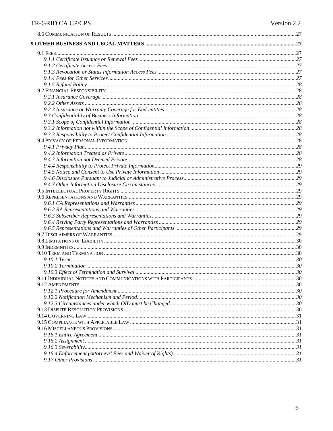# TR-GRID CA CP/CPS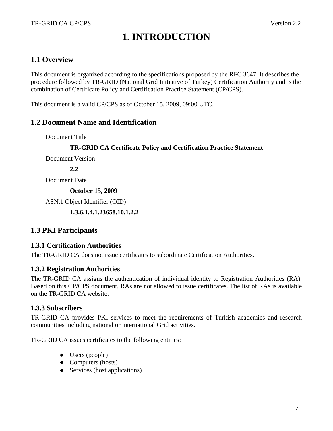# **1. INTRODUCTION**

### **1.1 Overview**

This document is organized according to the specifications proposed by the RFC 3647. It describes the procedure followed by TR-GRID (National Grid Initiative of Turkey) Certification Authority and is the combination of Certificate Policy and Certification Practice Statement (CP/CPS).

This document is a valid CP/CPS as of October 15, 2009, 09:00 UTC.

### **1.2 Document Name and Identification**

Document Title

#### **TR-GRID CA Certificate Policy and Certification Practice Statement**

Document Version

**2.2** 

Document Date

**October 15, 2009** 

ASN.1 Object Identifier (OID)

 **1.3.6.1.4.1.23658.10.1.2.2** 

## **1.3 PKI Participants**

### **1.3.1 Certification Authorities**

The TR-GRID CA does not issue certificates to subordinate Certification Authorities.

### **1.3.2 Registration Authorities**

The TR-GRID CA assigns the authentication of individual identity to Registration Authorities (RA). Based on this CP/CPS document, RAs are not allowed to issue certificates. The list of RAs is available on the TR-GRID CA website.

### **1.3.3 Subscribers**

TR-GRID CA provides PKI services to meet the requirements of Turkish academics and research communities including national or international Grid activities.

TR-GRID CA issues certificates to the following entities:

- Users (people)
- Computers (hosts)
- Services (host applications)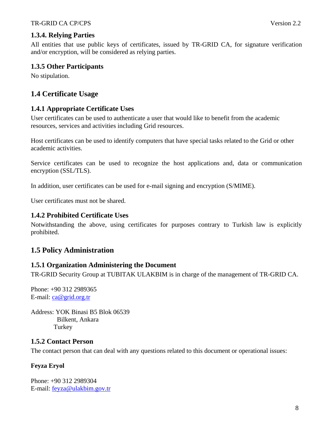## **1.3.4. Relying Parties**

All entities that use public keys of certificates, issued by TR-GRID CA, for signature verification and/or encryption, will be considered as relying parties.

#### **1.3.5 Other Participants**

No stipulation.

# **1.4 Certificate Usage**

### **1.4.1 Appropriate Certificate Uses**

User certificates can be used to authenticate a user that would like to benefit from the academic resources, services and activities including Grid resources.

Host certificates can be used to identify computers that have special tasks related to the Grid or other academic activities.

Service certificates can be used to recognize the host applications and, data or communication encryption (SSL/TLS).

In addition, user certificates can be used for e-mail signing and encryption (S/MIME).

User certificates must not be shared.

#### **1.4.2 Prohibited Certificate Uses**

Notwithstanding the above, using certificates for purposes contrary to Turkish law is explicitly prohibited.

## **1.5 Policy Administration**

### **1.5.1 Organization Administering the Document**

TR-GRID Security Group at TUBITAK ULAKBIM is in charge of the management of TR-GRID CA.

Phone: +90 312 2989365 E-mail: ca@grid.org.tr

Address: YOK Binasi B5 Blok 06539 Bilkent, Ankara Turkey

#### **1.5.2 Contact Person**

The contact person that can deal with any questions related to this document or operational issues:

#### **Feyza Eryol**

Phone: +90 312 2989304 E-mail: feyza@ulakbim.gov.tr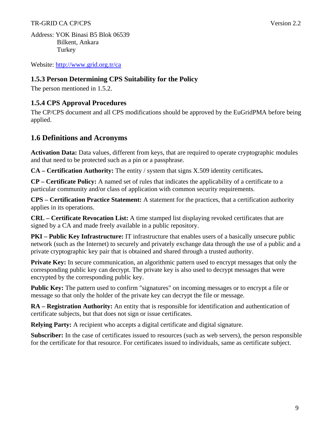#### TR-GRID CA CP/CPS Version 2.2

Address: YOK Binasi B5 Blok 06539 Bilkent, Ankara Turkey

Website: http://www.grid.org.tr/ca

### **1.5.3 Person Determining CPS Suitability for the Policy**

The person mentioned in 1.5.2.

### **1.5.4 CPS Approval Procedures**

The CP/CPS document and all CPS modifications should be approved by the EuGridPMA before being applied.

## **1.6 Definitions and Acronyms**

**Activation Data:** Data values, different from keys, that are required to operate cryptographic modules and that need to be protected such as a pin or a passphrase.

**CA – Certification Authority:** The entity / system that signs X.509 identity certificates**.** 

**CP – Certificate Policy:** A named set of rules that indicates the applicability of a certificate to a particular community and/or class of application with common security requirements.

**CPS – Certification Practice Statement:** A statement for the practices, that a certification authority applies in its operations.

**CRL – Certificate Revocation List:** A time stamped list displaying revoked certificates that are signed by a CA and made freely available in a public repository.

**PKI – Public Key Infrastructure:** IT infrastructure that enables users of a basically unsecure public network (such as the Internet) to securely and privately exchange data through the use of a public and a private cryptographic key pair that is obtained and shared through a trusted authority.

**Private Key:** In secure communication, an algorithmic pattern used to encrypt messages that only the corresponding public key can decrypt. The private key is also used to decrypt messages that were encrypted by the corresponding public key.

**Public Key:** The pattern used to confirm "signatures" on incoming messages or to encrypt a file or message so that only the holder of the private key can decrypt the file or message.

**RA – Registration Authority:** An entity that is responsible for identification and authentication of certificate subjects, but that does not sign or issue certificates.

**Relying Party:** A recipient who accepts a digital certificate and digital signature.

**Subscriber:** In the case of certificates issued to resources (such as web servers), the person responsible for the certificate for that resource. For certificates issued to individuals, same as certificate subject.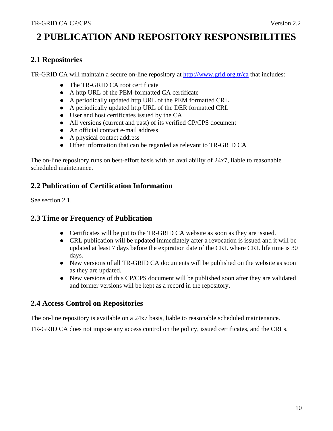# **2 PUBLICATION AND REPOSITORY RESPONSIBILITIES**

## **2.1 Repositories**

TR-GRID CA will maintain a secure on-line repository at http://www.grid.org.tr/ca that includes:

- The TR-GRID CA root certificate
- A http URL of the PEM-formatted CA certificate
- A periodically updated http URL of the PEM formatted CRL
- A periodically updated http URL of the DER formatted CRL
- User and host certificates issued by the CA
- All versions (current and past) of its verified CP/CPS document
- An official contact e-mail address
- A physical contact address
- Other information that can be regarded as relevant to TR-GRID CA

The on-line repository runs on best-effort basis with an availability of 24x7, liable to reasonable scheduled maintenance.

# **2.2 Publication of Certification Information**

See section 2.1.

# **2.3 Time or Frequency of Publication**

- Certificates will be put to the TR-GRID CA website as soon as they are issued.
- CRL publication will be updated immediately after a revocation is issued and it will be updated at least 7 days before the expiration date of the CRL where CRL life time is 30 days.
- New versions of all TR-GRID CA documents will be published on the website as soon as they are updated.
- New versions of this CP/CPS document will be published soon after they are validated and former versions will be kept as a record in the repository.

## **2.4 Access Control on Repositories**

The on-line repository is available on a 24x7 basis, liable to reasonable scheduled maintenance.

TR-GRID CA does not impose any access control on the policy, issued certificates, and the CRLs.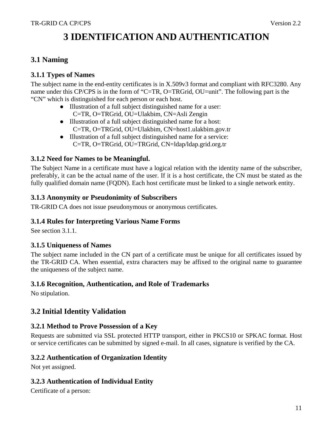# **3 IDENTIFICATION AND AUTHENTICATION**

# **3.1 Naming**

### **3.1.1 Types of Names**

The subject name in the end-entity certificates is in X.509v3 format and compliant with RFC3280. Any name under this CP/CPS is in the form of "C=TR, O=TRGrid, OU=unit". The following part is the "CN" which is distinguished for each person or each host.

- Illustration of a full subject distinguished name for a user: C=TR, O=TRGrid, OU=Ulakbim, CN=Asli Zengin
- Illustration of a full subject distinguished name for a host: C=TR, O=TRGrid, OU=Ulakbim, CN=host1.ulakbim.gov.tr
- Illustration of a full subject distinguished name for a service: C=TR, O=TRGrid, OU=TRGrid, CN=ldap/ldap.grid.org.tr

### **3.1.2 Need for Names to be Meaningful.**

The Subject Name in a certificate must have a logical relation with the identity name of the subscriber, preferably, it can be the actual name of the user. If it is a host certificate, the CN must be stated as the fully qualified domain name (FQDN). Each host certificate must be linked to a single network entity.

#### **3.1.3 Anonymity or Pseudonimity of Subscribers**

TR-GRID CA does not issue pseudonymous or anonymous certificates.

### **3.1.4 Rules for Interpreting Various Name Forms**

See section 3.1.1.

### **3.1.5 Uniqueness of Names**

The subject name included in the CN part of a certificate must be unique for all certificates issued by the TR-GRID CA. When essential, extra characters may be affixed to the original name to guarantee the uniqueness of the subject name.

#### **3.1.6 Recognition, Authentication, and Role of Trademarks**

No stipulation.

## **3.2 Initial Identity Validation**

### **3.2.1 Method to Prove Possession of a Key**

Requests are submitted via SSL protected HTTP transport, either in PKCS10 or SPKAC format. Host or service certificates can be submitted by signed e-mail. In all cases, signature is verified by the CA.

#### **3.2.2 Authentication of Organization Identity**

Not yet assigned.

### **3.2.3 Authentication of Individual Entity**

Certificate of a person: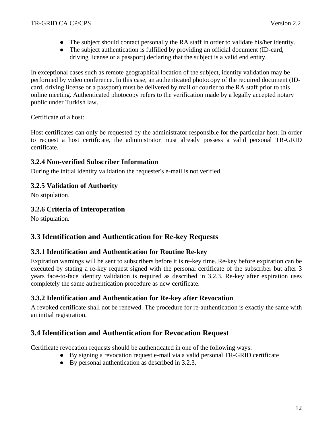- The subject should contact personally the RA staff in order to validate his/her identity.
- The subject authentication is fulfilled by providing an official document (ID-card, driving license or a passport) declaring that the subject is a valid end entity.

In exceptional cases such as remote geographical location of the subject, identity validation may be performed by video conference. In this case, an authenticated photocopy of the required document (IDcard, driving license or a passport) must be delivered by mail or courier to the RA staff prior to this online meeting. Authenticated photocopy refers to the verification made by a legally accepted notary public under Turkish law.

Certificate of a host:

Host certificates can only be requested by the administrator responsible for the particular host. In order to request a host certificate, the administrator must already possess a valid personal TR-GRID certificate.

### **3.2.4 Non-verified Subscriber Information**

During the initial identity validation the requester's e-mail is not verified.

### **3.2.5 Validation of Authority**

No stipulation.

### **3.2.6 Criteria of Interoperation**

No stipulation.

# **3.3 Identification and Authentication for Re-key Requests**

### **3.3.1 Identification and Authentication for Routine Re-key**

Expiration warnings will be sent to subscribers before it is re-key time. Re-key before expiration can be executed by stating a re-key request signed with the personal certificate of the subscriber but after 3 years face-to-face identity validation is required as described in 3.2.3. Re-key after expiration uses completely the same authentication procedure as new certificate.

## **3.3.2 Identification and Authentication for Re-key after Revocation**

A revoked certificate shall not be renewed. The procedure for re-authentication is exactly the same with an initial registration.

# **3.4 Identification and Authentication for Revocation Request**

Certificate revocation requests should be authenticated in one of the following ways:

- By signing a revocation request e-mail via a valid personal TR-GRID certificate
- By personal authentication as described in 3.2.3.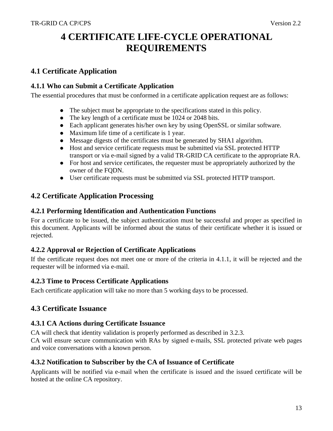# **4 CERTIFICATE LIFE-CYCLE OPERATIONAL REQUIREMENTS**

# **4.1 Certificate Application**

### **4.1.1 Who can Submit a Certificate Application**

The essential procedures that must be conformed in a certificate application request are as follows:

- The subject must be appropriate to the specifications stated in this policy.
- The key length of a certificate must be 1024 or 2048 bits.
- Each applicant generates his/her own key by using OpenSSL or similar software.
- Maximum life time of a certificate is 1 year.
- Message digests of the certificates must be generated by SHA1 algorithm.
- Host and service certificate requests must be submitted via SSL protected HTTP transport or via e-mail signed by a valid TR-GRID CA certificate to the appropriate RA.
- For host and service certificates, the requester must be appropriately authorized by the owner of the FQDN.
- User certificate requests must be submitted via SSL protected HTTP transport.

# **4.2 Certificate Application Processing**

### **4.2.1 Performing Identification and Authentication Functions**

For a certificate to be issued, the subject authentication must be successful and proper as specified in this document. Applicants will be informed about the status of their certificate whether it is issued or rejected.

## **4.2.2 Approval or Rejection of Certificate Applications**

If the certificate request does not meet one or more of the criteria in 4.1.1, it will be rejected and the requester will be informed via e-mail.

### **4.2.3 Time to Process Certificate Applications**

Each certificate application will take no more than 5 working days to be processed.

## **4.3 Certificate Issuance**

### **4.3.1 CA Actions during Certificate Issuance**

CA will check that identity validation is properly performed as described in 3.2.3.

CA will ensure secure communication with RAs by signed e-mails, SSL protected private web pages and voice conversations with a known person.

## **4.3.2 Notification to Subscriber by the CA of Issuance of Certificate**

Applicants will be notified via e-mail when the certificate is issued and the issued certificate will be hosted at the online CA repository.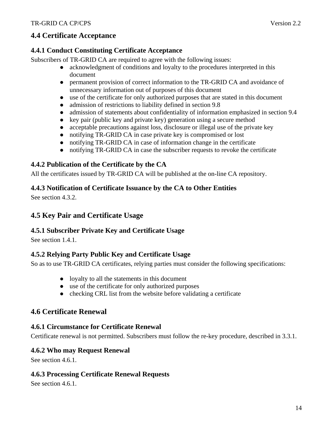# **4.4 Certificate Acceptance**

### **4.4.1 Conduct Constituting Certificate Acceptance**

Subscribers of TR-GRID CA are required to agree with the following issues:

- acknowledgment of conditions and loyalty to the procedures interpreted in this document
- permanent provision of correct information to the TR-GRID CA and avoidance of unnecessary information out of purposes of this document
- use of the certificate for only authorized purposes that are stated in this document
- admission of restrictions to liability defined in section 9.8
- admission of statements about confidentiality of information emphasized in section 9.4
- $\bullet$  key pair (public key and private key) generation using a secure method
- acceptable precautions against loss, disclosure or illegal use of the private key
- notifying TR-GRID CA in case private key is compromised or lost
- notifying TR-GRID CA in case of information change in the certificate
- notifying TR-GRID CA in case the subscriber requests to revoke the certificate

# **4.4.2 Publication of the Certificate by the CA**

All the certificates issued by TR-GRID CA will be published at the on-line CA repository.

### **4.4.3 Notification of Certificate Issuance by the CA to Other Entities**

See section 4.3.2.

# **4.5 Key Pair and Certificate Usage**

### **4.5.1 Subscriber Private Key and Certificate Usage**

See section 1.4.1.

### **4.5.2 Relying Party Public Key and Certificate Usage**

So as to use TR-GRID CA certificates, relying parties must consider the following specifications:

- loyalty to all the statements in this document
- use of the certificate for only authorized purposes
- $\bullet$  checking CRL list from the website before validating a certificate

## **4.6 Certificate Renewal**

### **4.6.1 Circumstance for Certificate Renewal**

Certificate renewal is not permitted. Subscribers must follow the re-key procedure, described in 3.3.1.

### **4.6.2 Who may Request Renewal**

See section 4.6.1.

### **4.6.3 Processing Certificate Renewal Requests**

See section 4.6.1.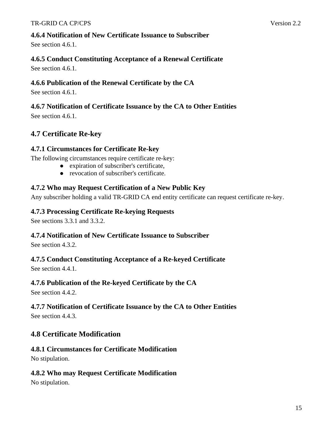See section 4.6.1.

# **4.6.5 Conduct Constituting Acceptance of a Renewal Certificate**

See section 4.6.1.

# **4.6.6 Publication of the Renewal Certificate by the CA**

See section 4.6.1.

# **4.6.7 Notification of Certificate Issuance by the CA to Other Entities**

See section 4.6.1.

# **4.7 Certificate Re-key**

# **4.7.1 Circumstances for Certificate Re-key**

The following circumstances require certificate re-key:

- expiration of subscriber's certificate,
- revocation of subscriber's certificate.

# **4.7.2 Who may Request Certification of a New Public Key**

Any subscriber holding a valid TR-GRID CA end entity certificate can request certificate re-key.

# **4.7.3 Processing Certificate Re-keying Requests**

See sections 3.3.1 and 3.3.2.

# **4.7.4 Notification of New Certificate Issuance to Subscriber**

See section 4.3.2.

# **4.7.5 Conduct Constituting Acceptance of a Re-keyed Certificate**

See section 4.4.1.

# **4.7.6 Publication of the Re-keyed Certificate by the CA**

See section 4.4.2.

# **4.7.7 Notification of Certificate Issuance by the CA to Other Entities**

See section 4.4.3.

# **4.8 Certificate Modification**

# **4.8.1 Circumstances for Certificate Modification**

No stipulation.

# **4.8.2 Who may Request Certificate Modification**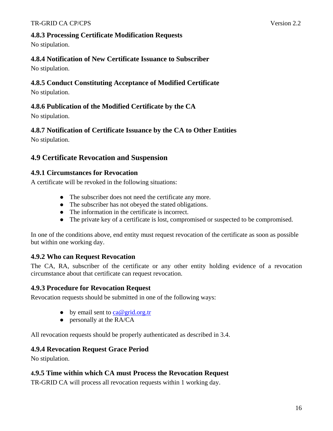## **4.8.3 Processing Certificate Modification Requests**

No stipulation.

# **4.8.4 Notification of New Certificate Issuance to Subscriber**

No stipulation.

## **4.8.5 Conduct Constituting Acceptance of Modified Certificate**

No stipulation.

## **4.8.6 Publication of the Modified Certificate by the CA**

No stipulation.

# **4.8.7 Notification of Certificate Issuance by the CA to Other Entities**

No stipulation.

# **4.9 Certificate Revocation and Suspension**

## **4.9.1 Circumstances for Revocation**

A certificate will be revoked in the following situations:

- The subscriber does not need the certificate any more.
- The subscriber has not obeyed the stated obligations.
- The information in the certificate is incorrect.
- The private key of a certificate is lost, compromised or suspected to be compromised.

In one of the conditions above, end entity must request revocation of the certificate as soon as possible but within one working day.

# **4.9.2 Who can Request Revocation**

The CA, RA, subscriber of the certificate or any other entity holding evidence of a revocation circumstance about that certificate can request revocation.

## **4.9.3 Procedure for Revocation Request**

Revocation requests should be submitted in one of the following ways:

- $\bullet$  by email sent to ca@grid.org.tr
- personally at the RA/CA

All revocation requests should be properly authenticated as described in 3.4.

## **4.9.4 Revocation Request Grace Period**

No stipulation.

## **4.9.5 Time within which CA must Process the Revocation Request**

TR-GRID CA will process all revocation requests within 1 working day.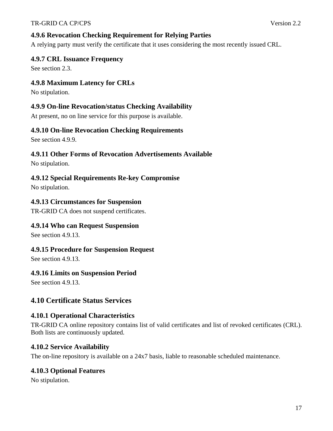### **4.9.6 Revocation Checking Requirement for Relying Parties**

A relying party must verify the certificate that it uses considering the most recently issued CRL.

### **4.9.7 CRL Issuance Frequency**

See section 2.3.

### **4.9.8 Maximum Latency for CRLs**

No stipulation.

#### **4.9.9 On-line Revocation/status Checking Availability**

At present, no on line service for this purpose is available.

#### **4.9.10 On-line Revocation Checking Requirements**

See section 4.9.9.

### **4.9.11 Other Forms of Revocation Advertisements Available**

No stipulation.

### **4.9.12 Special Requirements Re-key Compromise**

No stipulation.

### **4.9.13 Circumstances for Suspension**

TR-GRID CA does not suspend certificates.

### **4.9.14 Who can Request Suspension**

See section 4.9.13.

### **4.9.15 Procedure for Suspension Request**

See section 4.9.13.

### **4.9.16 Limits on Suspension Period**

See section 4.9.13.

## **4.10 Certificate Status Services**

### **4.10.1 Operational Characteristics**

TR-GRID CA online repository contains list of valid certificates and list of revoked certificates (CRL). Both lists are continuously updated.

### **4.10.2 Service Availability**

The on-line repository is available on a 24x7 basis, liable to reasonable scheduled maintenance.

### **4.10.3 Optional Features**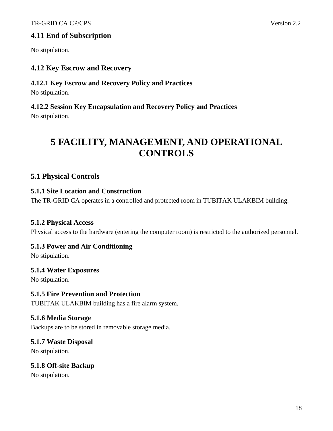## **4.11 End of Subscription**

No stipulation.

# **4.12 Key Escrow and Recovery**

### **4.12.1 Key Escrow and Recovery Policy and Practices**

No stipulation.

# **4.12.2 Session Key Encapsulation and Recovery Policy and Practices**

No stipulation.

# **5 FACILITY, MANAGEMENT, AND OPERATIONAL CONTROLS**

# **5.1 Physical Controls**

## **5.1.1 Site Location and Construction**

The TR-GRID CA operates in a controlled and protected room in TUBITAK ULAKBIM building.

## **5.1.2 Physical Access**

Physical access to the hardware (entering the computer room) is restricted to the authorized personnel.

## **5.1.3 Power and Air Conditioning**

No stipulation.

## **5.1.4 Water Exposures**

No stipulation.

## **5.1.5 Fire Prevention and Protection**

TUBITAK ULAKBIM building has a fire alarm system.

## **5.1.6 Media Storage**

Backups are to be stored in removable storage media.

## **5.1.7 Waste Disposal**

No stipulation.

## **5.1.8 Off-site Backup**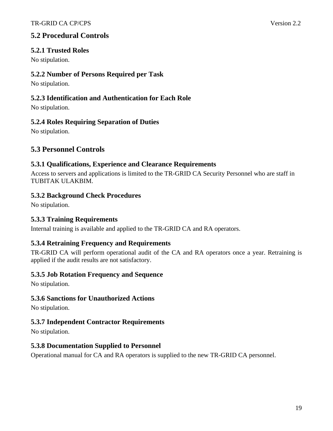# **5.2 Procedural Controls**

### **5.2.1 Trusted Roles**

No stipulation.

### **5.2.2 Number of Persons Required per Task**

No stipulation.

### **5.2.3 Identification and Authentication for Each Role**

No stipulation.

### **5.2.4 Roles Requiring Separation of Duties**

No stipulation.

# **5.3 Personnel Controls**

### **5.3.1 Qualifications, Experience and Clearance Requirements**

Access to servers and applications is limited to the TR-GRID CA Security Personnel who are staff in TUBITAK ULAKBIM.

### **5.3.2 Background Check Procedures**

No stipulation.

### **5.3.3 Training Requirements**

Internal training is available and applied to the TR-GRID CA and RA operators.

### **5.3.4 Retraining Frequency and Requirements**

TR-GRID CA will perform operational audit of the CA and RA operators once a year. Retraining is applied if the audit results are not satisfactory.

### **5.3.5 Job Rotation Frequency and Sequence**

No stipulation.

### **5.3.6 Sanctions for Unauthorized Actions**

No stipulation.

### **5.3.7 Independent Contractor Requirements**

No stipulation.

### **5.3.8 Documentation Supplied to Personnel**

Operational manual for CA and RA operators is supplied to the new TR-GRID CA personnel.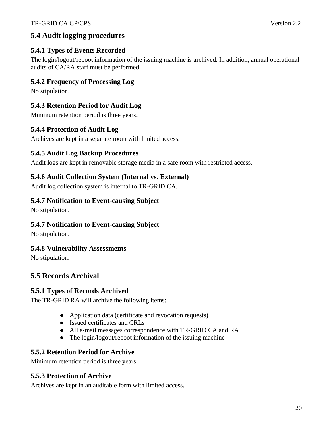# **5.4 Audit logging procedures**

# **5.4.1 Types of Events Recorded**

The login/logout/reboot information of the issuing machine is archived. In addition, annual operational audits of CA/RA staff must be performed.

# **5.4.2 Frequency of Processing Log**

No stipulation.

# **5.4.3 Retention Period for Audit Log**

Minimum retention period is three years.

# **5.4.4 Protection of Audit Log**

Archives are kept in a separate room with limited access.

# **5.4.5 Audit Log Backup Procedures**

Audit logs are kept in removable storage media in a safe room with restricted access.

# **5.4.6 Audit Collection System (Internal vs. External)**

Audit log collection system is internal to TR-GRID CA.

## **5.4.7 Notification to Event-causing Subject**

No stipulation.

## **5.4.7 Notification to Event-causing Subject**

No stipulation.

## **5.4.8 Vulnerability Assessments**

No stipulation.

# **5.5 Records Archival**

## **5.5.1 Types of Records Archived**

The TR-GRID RA will archive the following items:

- Application data (certificate and revocation requests)
- Issued certificates and CRLs
- All e-mail messages correspondence with TR-GRID CA and RA
- The login/logout/reboot information of the issuing machine

## **5.5.2 Retention Period for Archive**

Minimum retention period is three years.

### **5.5.3 Protection of Archive**

Archives are kept in an auditable form with limited access.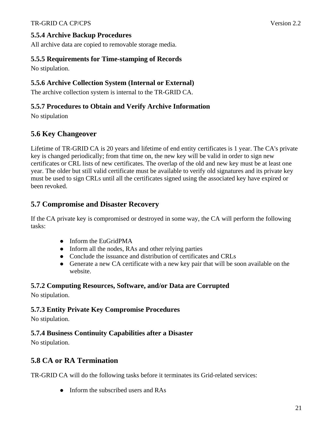All archive data are copied to removable storage media.

# **5.5.5 Requirements for Time-stamping of Records**

No stipulation.

# **5.5.6 Archive Collection System (Internal or External)**

The archive collection system is internal to the TR-GRID CA.

# **5.5.7 Procedures to Obtain and Verify Archive Information**

No stipulation

# **5.6 Key Changeover**

Lifetime of TR-GRID CA is 20 years and lifetime of end entity certificates is 1 year. The CA's private key is changed periodically; from that time on, the new key will be valid in order to sign new certificates or CRL lists of new certificates. The overlap of the old and new key must be at least one year. The older but still valid certificate must be available to verify old signatures and its private key must be used to sign CRLs until all the certificates signed using the associated key have expired or been revoked.

# **5.7 Compromise and Disaster Recovery**

If the CA private key is compromised or destroyed in some way, the CA will perform the following tasks:

- Inform the EuGridPMA
- Inform all the nodes, RAs and other relying parties
- Conclude the issuance and distribution of certificates and CRLs
- Generate a new CA certificate with a new key pair that will be soon available on the website.

# **5.7.2 Computing Resources, Software, and/or Data are Corrupted**

No stipulation.

# **5.7.3 Entity Private Key Compromise Procedures**

No stipulation.

# **5.7.4 Business Continuity Capabilities after a Disaster**

No stipulation.

# **5.8 CA or RA Termination**

TR-GRID CA will do the following tasks before it terminates its Grid-related services:

• Inform the subscribed users and RAs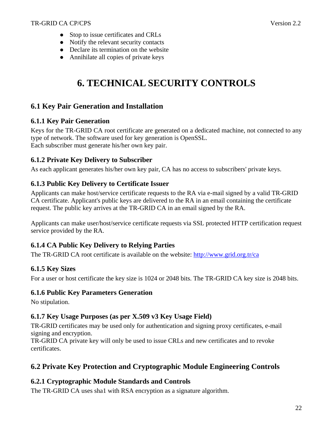- Stop to issue certificates and CRLs
- Notify the relevant security contacts
- Declare its termination on the website
- Annihilate all copies of private keys

# **6. TECHNICAL SECURITY CONTROLS**

# **6.1 Key Pair Generation and Installation**

### **6.1.1 Key Pair Generation**

Keys for the TR-GRID CA root certificate are generated on a dedicated machine, not connected to any type of network. The software used for key generation is OpenSSL. Each subscriber must generate his/her own key pair.

### **6.1.2 Private Key Delivery to Subscriber**

As each applicant generates his/her own key pair, CA has no access to subscribers' private keys.

## **6.1.3 Public Key Delivery to Certificate Issuer**

Applicants can make host/service certificate requests to the RA via e-mail signed by a valid TR-GRID CA certificate. Applicant's public keys are delivered to the RA in an email containing the certificate request. The public key arrives at the TR-GRID CA in an email signed by the RA.

Applicants can make user/host/service certificate requests via SSL protected HTTP certification request service provided by the RA.

## **6.1.4 CA Public Key Delivery to Relying Parties**

The TR-GRID CA root certificate is available on the website: http://www.grid.org.tr/ca

## **6.1.5 Key Sizes**

For a user or host certificate the key size is 1024 or 2048 bits. The TR-GRID CA key size is 2048 bits.

### **6.1.6 Public Key Parameters Generation**

No stipulation.

## **6.1.7 Key Usage Purposes (as per X.509 v3 Key Usage Field)**

TR-GRID certificates may be used only for authentication and signing proxy certificates, e-mail signing and encryption.

TR-GRID CA private key will only be used to issue CRLs and new certificates and to revoke certificates.

# **6.2 Private Key Protection and Cryptographic Module Engineering Controls**

## **6.2.1 Cryptographic Module Standards and Controls**

The TR-GRID CA uses sha1 with RSA encryption as a signature algorithm.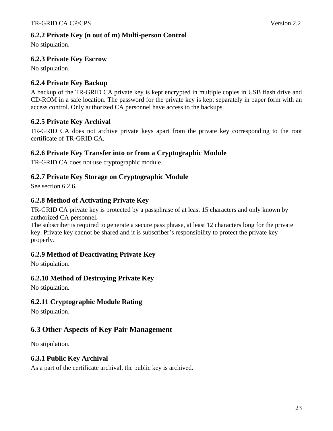No stipulation.

# **6.2.3 Private Key Escrow**

No stipulation.

# **6.2.4 Private Key Backup**

A backup of the TR-GRID CA private key is kept encrypted in multiple copies in USB flash drive and CD-ROM in a safe location. The password for the private key is kept separately in paper form with an access control. Only authorized CA personnel have access to the backups.

## **6.2.5 Private Key Archival**

TR-GRID CA does not archive private keys apart from the private key corresponding to the root certificate of TR-GRID CA.

### **6.2.6 Private Key Transfer into or from a Cryptographic Module**

TR-GRID CA does not use cryptographic module.

## **6.2.7 Private Key Storage on Cryptographic Module**

See section 6.2.6.

## **6.2.8 Method of Activating Private Key**

TR-GRID CA private key is protected by a passphrase of at least 15 characters and only known by authorized CA personnel.

The subscriber is required to generate a secure pass phrase, at least 12 characters long for the private key. Private key cannot be shared and it is subscriber's responsibility to protect the private key properly.

## **6.2.9 Method of Deactivating Private Key**

No stipulation.

## **6.2.10 Method of Destroying Private Key**

No stipulation.

## **6.2.11 Cryptographic Module Rating**

No stipulation.

## **6.3 Other Aspects of Key Pair Management**

No stipulation.

### **6.3.1 Public Key Archival**

As a part of the certificate archival, the public key is archived.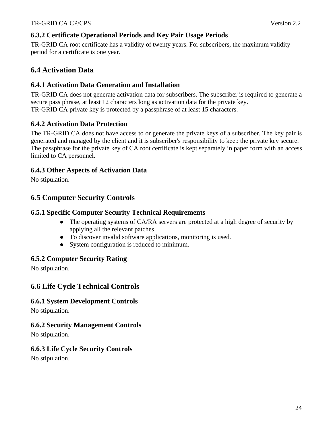# **6.3.2 Certificate Operational Periods and Key Pair Usage Periods**

TR-GRID CA root certificate has a validity of twenty years. For subscribers, the maximum validity period for a certificate is one year.

# **6.4 Activation Data**

## **6.4.1 Activation Data Generation and Installation**

TR-GRID CA does not generate activation data for subscribers. The subscriber is required to generate a secure pass phrase, at least 12 characters long as activation data for the private key. TR-GRID CA private key is protected by a passphrase of at least 15 characters.

# **6.4.2 Activation Data Protection**

The TR-GRID CA does not have access to or generate the private keys of a subscriber. The key pair is generated and managed by the client and it is subscriber's responsibility to keep the private key secure. The passphrase for the private key of CA root certificate is kept separately in paper form with an access limited to CA personnel.

## **6.4.3 Other Aspects of Activation Data**

No stipulation.

# **6.5 Computer Security Controls**

## **6.5.1 Specific Computer Security Technical Requirements**

- The operating systems of CA/RA servers are protected at a high degree of security by applying all the relevant patches.
- To discover invalid software applications, monitoring is used.
- System configuration is reduced to minimum.

## **6.5.2 Computer Security Rating**

No stipulation.

# **6.6 Life Cycle Technical Controls**

## **6.6.1 System Development Controls**

No stipulation.

## **6.6.2 Security Management Controls**

No stipulation.

## **6.6.3 Life Cycle Security Controls**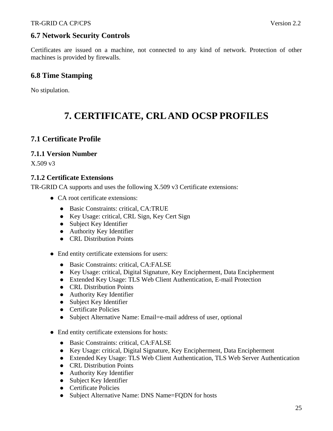# **6.7 Network Security Controls**

Certificates are issued on a machine, not connected to any kind of network. Protection of other machines is provided by firewalls.

# **6.8 Time Stamping**

No stipulation.

# **7. CERTIFICATE, CRL AND OCSP PROFILES**

# **7.1 Certificate Profile**

### **7.1.1 Version Number**

X.509 v3

### **7.1.2 Certificate Extensions**

TR-GRID CA supports and uses the following X.509 v3 Certificate extensions:

- CA root certificate extensions:
	- Basic Constraints: critical, CA:TRUE
	- Key Usage: critical, CRL Sign, Key Cert Sign
	- Subject Key Identifier
	- Authority Key Identifier
	- **•** CRL Distribution Points
- End entity certificate extensions for users:
	- Basic Constraints: critical, CA:FALSE
	- Key Usage: critical, Digital Signature, Key Encipherment, Data Encipherment
	- Extended Key Usage: TLS Web Client Authentication, E-mail Protection
	- CRL Distribution Points
	- Authority Key Identifier
	- Subject Key Identifier
	- Certificate Policies
	- Subject Alternative Name: Email=e-mail address of user, optional
- End entity certificate extensions for hosts:
	- Basic Constraints: critical, CA:FALSE
	- Key Usage: critical, Digital Signature, Key Encipherment, Data Encipherment
	- Extended Key Usage: TLS Web Client Authentication, TLS Web Server Authentication
	- CRL Distribution Points
	- Authority Key Identifier
	- Subject Key Identifier
	- Certificate Policies
	- Subject Alternative Name: DNS Name=FQDN for hosts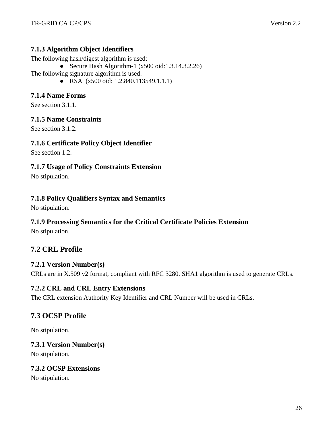### **7.1.3 Algorithm Object Identifiers**

The following hash/digest algorithm is used:

- Secure Hash Algorithm-1  $(x500 \text{ oid}: 1.3.14.3.2.26)$
- The following signature algorithm is used:
	- RSA (x500 oid: 1.2.840.113549.1.1.1)

## **7.1.4 Name Forms**

See section 3.1.1.

### **7.1.5 Name Constraints**

See section 3.1.2.

### **7.1.6 Certificate Policy Object Identifier**

See section 1.2.

### **7.1.7 Usage of Policy Constraints Extension**

No stipulation.

### **7.1.8 Policy Qualifiers Syntax and Semantics**

No stipulation.

## **7.1.9 Processing Semantics for the Critical Certificate Policies Extension**

No stipulation.

# **7.2 CRL Profile**

### **7.2.1 Version Number(s)**

CRLs are in X.509 v2 format, compliant with RFC 3280. SHA1 algorithm is used to generate CRLs.

### **7.2.2 CRL and CRL Entry Extensions**

The CRL extension Authority Key Identifier and CRL Number will be used in CRLs.

# **7.3 OCSP Profile**

No stipulation.

### **7.3.1 Version Number(s)**

No stipulation.

### **7.3.2 OCSP Extensions**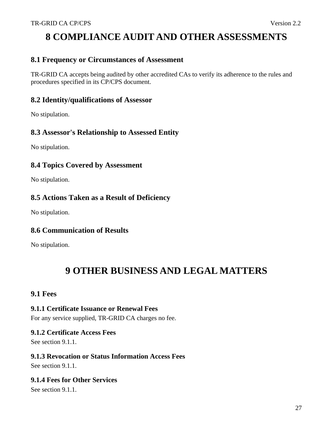# **8 COMPLIANCE AUDIT AND OTHER ASSESSMENTS**

## **8.1 Frequency or Circumstances of Assessment**

TR-GRID CA accepts being audited by other accredited CAs to verify its adherence to the rules and procedures specified in its CP/CPS document.

## **8.2 Identity/qualifications of Assessor**

No stipulation.

## **8.3 Assessor's Relationship to Assessed Entity**

No stipulation.

## **8.4 Topics Covered by Assessment**

No stipulation.

# **8.5 Actions Taken as a Result of Deficiency**

No stipulation.

## **8.6 Communication of Results**

No stipulation.

# **9 OTHER BUSINESS AND LEGAL MATTERS**

## **9.1 Fees**

### **9.1.1 Certificate Issuance or Renewal Fees**

For any service supplied, TR-GRID CA charges no fee.

### **9.1.2 Certificate Access Fees**

See section 9.1.1.

### **9.1.3 Revocation or Status Information Access Fees**

See section 9.1.1.

## **9.1.4 Fees for Other Services**

See section 9.1.1.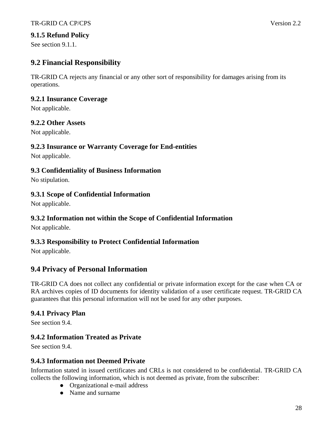### **9.1.5 Refund Policy**

See section 9.1.1.

# **9.2 Financial Responsibility**

TR-GRID CA rejects any financial or any other sort of responsibility for damages arising from its operations.

### **9.2.1 Insurance Coverage**

Not applicable.

### **9.2.2 Other Assets**

Not applicable.

### **9.2.3 Insurance or Warranty Coverage for End-entities**

Not applicable.

### **9.3 Confidentiality of Business Information**

No stipulation.

### **9.3.1 Scope of Confidential Information**

Not applicable.

### **9.3.2 Information not within the Scope of Confidential Information**

Not applicable.

## **9.3.3 Responsibility to Protect Confidential Information**

Not applicable.

# **9.4 Privacy of Personal Information**

TR-GRID CA does not collect any confidential or private information except for the case when CA or RA archives copies of ID documents for identity validation of a user certificate request. TR-GRID CA guarantees that this personal information will not be used for any other purposes.

### **9.4.1 Privacy Plan**

See section 9.4.

## **9.4.2 Information Treated as Private**

See section 9.4.

### **9.4.3 Information not Deemed Private**

Information stated in issued certificates and CRLs is not considered to be confidential. TR-GRID CA collects the following information, which is not deemed as private, from the subscriber:

- Organizational e-mail address
- Name and surname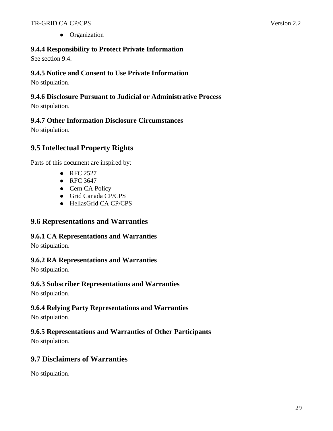• Organization

# **9.4.4 Responsibility to Protect Private Information**

See section 9.4.

## **9.4.5 Notice and Consent to Use Private Information**

No stipulation.

## **9.4.6 Disclosure Pursuant to Judicial or Administrative Process**

No stipulation.

# **9.4.7 Other Information Disclosure Circumstances**

No stipulation.

# **9.5 Intellectual Property Rights**

Parts of this document are inspired by:

- RFC 2527
- RFC 3647
- Cern CA Policy
- Grid Canada CP/CPS
- HellasGrid CA CP/CPS

# **9.6 Representations and Warranties**

## **9.6.1 CA Representations and Warranties**

No stipulation.

## **9.6.2 RA Representations and Warranties**

No stipulation.

## **9.6.3 Subscriber Representations and Warranties**

No stipulation.

## **9.6.4 Relying Party Representations and Warranties**

No stipulation.

# **9.6.5 Representations and Warranties of Other Participants**

No stipulation.

# **9.7 Disclaimers of Warranties**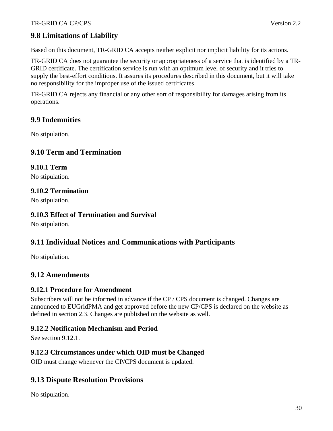# **9.8 Limitations of Liability**

Based on this document, TR-GRID CA accepts neither explicit nor implicit liability for its actions.

TR-GRID CA does not guarantee the security or appropriateness of a service that is identified by a TR-GRID certificate. The certification service is run with an optimum level of security and it tries to supply the best-effort conditions. It assures its procedures described in this document, but it will take no responsibility for the improper use of the issued certificates.

TR-GRID CA rejects any financial or any other sort of responsibility for damages arising from its operations.

### **9.9 Indemnities**

No stipulation.

## **9.10 Term and Termination**

### **9.10.1 Term**

No stipulation.

#### **9.10.2 Termination**

No stipulation.

#### **9.10.3 Effect of Termination and Survival**

No stipulation.

## **9.11 Individual Notices and Communications with Participants**

No stipulation.

## **9.12 Amendments**

#### **9.12.1 Procedure for Amendment**

Subscribers will not be informed in advance if the CP / CPS document is changed. Changes are announced to EUGridPMA and get approved before the new CP/CPS is declared on the website as defined in section 2.3. Changes are published on the website as well.

### **9.12.2 Notification Mechanism and Period**

See section 9.12.1.

### **9.12.3 Circumstances under which OID must be Changed**

OID must change whenever the CP/CPS document is updated.

## **9.13 Dispute Resolution Provisions**